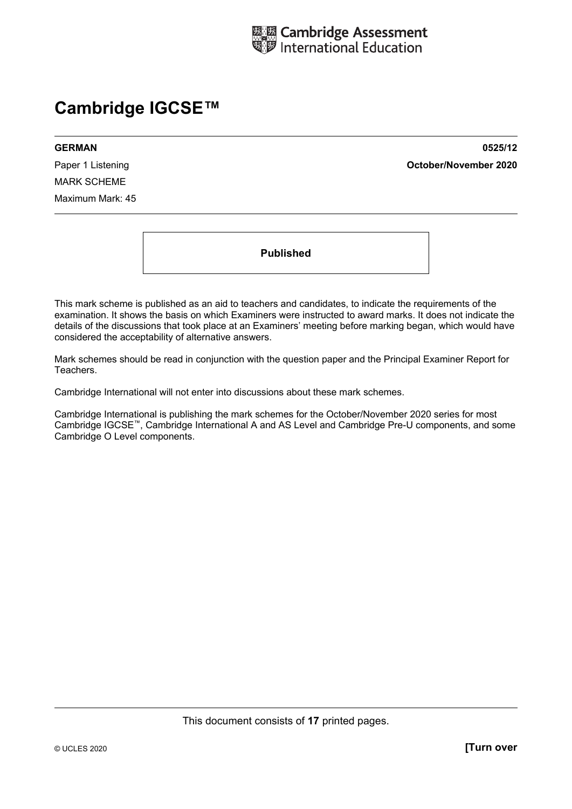

# **Cambridge IGCSE™**

MARK SCHEME Maximum Mark: 45

**GERMAN 0525/12**  Paper 1 Listening **October/November 2020**

**Published** 

This mark scheme is published as an aid to teachers and candidates, to indicate the requirements of the examination. It shows the basis on which Examiners were instructed to award marks. It does not indicate the details of the discussions that took place at an Examiners' meeting before marking began, which would have considered the acceptability of alternative answers.

Mark schemes should be read in conjunction with the question paper and the Principal Examiner Report for Teachers.

Cambridge International will not enter into discussions about these mark schemes.

Cambridge International is publishing the mark schemes for the October/November 2020 series for most Cambridge IGCSE™, Cambridge International A and AS Level and Cambridge Pre-U components, and some Cambridge O Level components.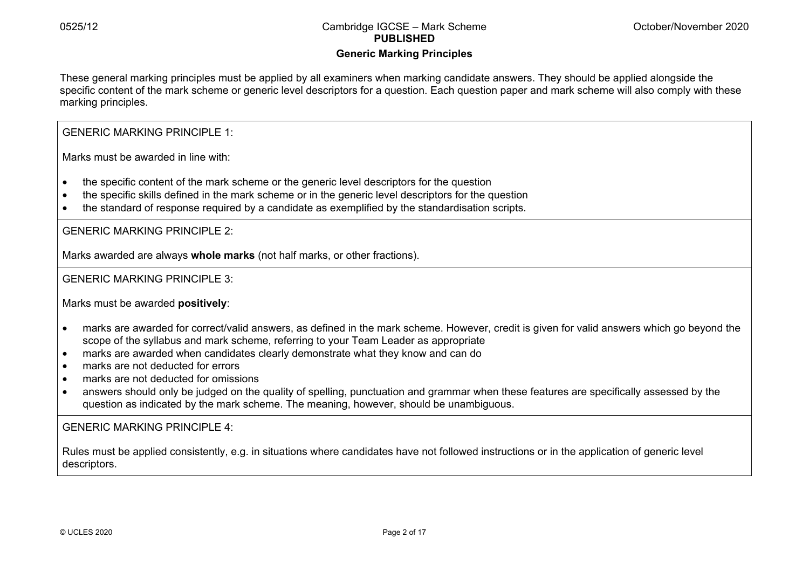# **Generic Marking Principles**

These general marking principles must be applied by all examiners when marking candidate answers. They should be applied alongside the specific content of the mark scheme or generic level descriptors for a question. Each question paper and mark scheme will also comply with these marking principles.

GENERIC MARKING PRINCIPLE 1:

Marks must be awarded in line with:

- the specific content of the mark scheme or the generic level descriptors for the question
- the specific skills defined in the mark scheme or in the generic level descriptors for the question
- the standard of response required by a candidate as exemplified by the standardisation scripts.

GENERIC MARKING PRINCIPLE 2:

Marks awarded are always **whole marks** (not half marks, or other fractions).

GENERIC MARKING PRINCIPLE 3:

Marks must be awarded **positively**:

- marks are awarded for correct/valid answers, as defined in the mark scheme. However, credit is given for valid answers which go beyond the scope of the syllabus and mark scheme, referring to your Team Leader as appropriate
- marks are awarded when candidates clearly demonstrate what they know and can do
- marks are not deducted for errors
- marks are not deducted for omissions
- answers should only be judged on the quality of spelling, punctuation and grammar when these features are specifically assessed by the question as indicated by the mark scheme. The meaning, however, should be unambiguous.

GENERIC MARKING PRINCIPLE 4:

Rules must be applied consistently, e.g. in situations where candidates have not followed instructions or in the application of generic level descriptors.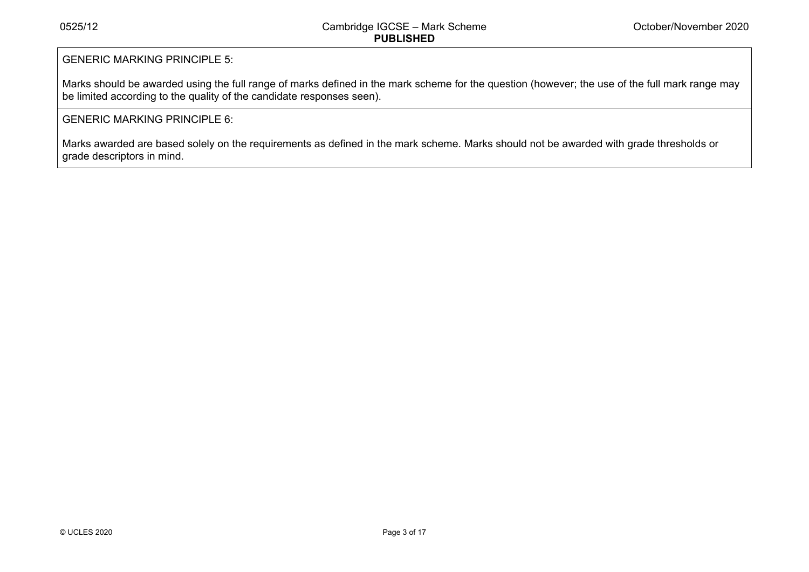# GENERIC MARKING PRINCIPLE 5:

Marks should be awarded using the full range of marks defined in the mark scheme for the question (however; the use of the full mark range may be limited according to the quality of the candidate responses seen).

# GENERIC MARKING PRINCIPLE 6:

Marks awarded are based solely on the requirements as defined in the mark scheme. Marks should not be awarded with grade thresholds or grade descriptors in mind.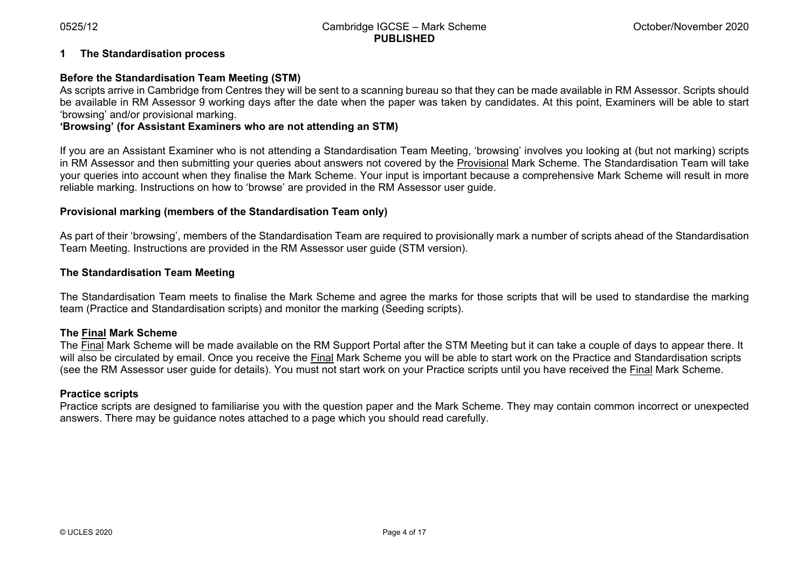#### **1 The Standardisation process**

#### **Before the Standardisation Team Meeting (STM)**

As scripts arrive in Cambridge from Centres they will be sent to a scanning bureau so that they can be made available in RM Assessor. Scripts should be available in RM Assessor 9 working days after the date when the paper was taken by candidates. At this point, Examiners will be able to start 'browsing' and/or provisional marking.

#### **'Browsing' (for Assistant Examiners who are not attending an STM)**

If you are an Assistant Examiner who is not attending a Standardisation Team Meeting, 'browsing' involves you looking at (but not marking) scripts in RM Assessor and then submitting your queries about answers not covered by the Provisional Mark Scheme. The Standardisation Team will take your queries into account when they finalise the Mark Scheme. Your input is important because a comprehensive Mark Scheme will result in more reliable marking. Instructions on how to 'browse' are provided in the RM Assessor user guide.

#### **Provisional marking (members of the Standardisation Team only)**

As part of their 'browsing', members of the Standardisation Team are required to provisionally mark a number of scripts ahead of the Standardisation Team Meeting. Instructions are provided in the RM Assessor user guide (STM version).

#### **The Standardisation Team Meeting**

The Standardisation Team meets to finalise the Mark Scheme and agree the marks for those scripts that will be used to standardise the marking team (Practice and Standardisation scripts) and monitor the marking (Seeding scripts).

#### **The Final Mark Scheme**

The Final Mark Scheme will be made available on the RM Support Portal after the STM Meeting but it can take a couple of days to appear there. It will also be circulated by email. Once you receive the Final Mark Scheme you will be able to start work on the Practice and Standardisation scripts (see the RM Assessor user guide for details). You must not start work on your Practice scripts until you have received the Final Mark Scheme.

#### **Practice scripts**

Practice scripts are designed to familiarise you with the question paper and the Mark Scheme. They may contain common incorrect or unexpected answers. There may be guidance notes attached to a page which you should read carefully.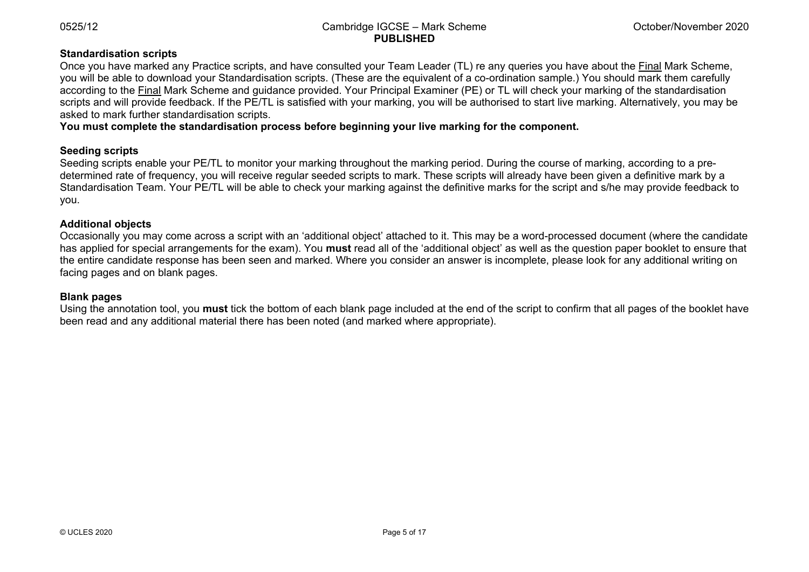### **Standardisation scripts**

Once you have marked any Practice scripts, and have consulted your Team Leader (TL) re any queries you have about the Final Mark Scheme, you will be able to download your Standardisation scripts. (These are the equivalent of a co-ordination sample.) You should mark them carefully according to the Final Mark Scheme and guidance provided. Your Principal Examiner (PE) or TL will check your marking of the standardisation scripts and will provide feedback. If the PE/TL is satisfied with your marking, you will be authorised to start live marking. Alternatively, you may be asked to mark further standardisation scripts.

**You must complete the standardisation process before beginning your live marking for the component.** 

#### **Seeding scripts**

Seeding scripts enable your PE/TL to monitor your marking throughout the marking period. During the course of marking, according to a predetermined rate of frequency, you will receive regular seeded scripts to mark. These scripts will already have been given a definitive mark by a Standardisation Team. Your PE/TL will be able to check your marking against the definitive marks for the script and s/he may provide feedback to you.

#### **Additional objects**

Occasionally you may come across a script with an 'additional object' attached to it. This may be a word-processed document (where the candidate has applied for special arrangements for the exam). You **must** read all of the 'additional object' as well as the question paper booklet to ensure that the entire candidate response has been seen and marked. Where you consider an answer is incomplete, please look for any additional writing on facing pages and on blank pages.

#### **Blank pages**

Using the annotation tool, you **must** tick the bottom of each blank page included at the end of the script to confirm that all pages of the booklet have been read and any additional material there has been noted (and marked where appropriate).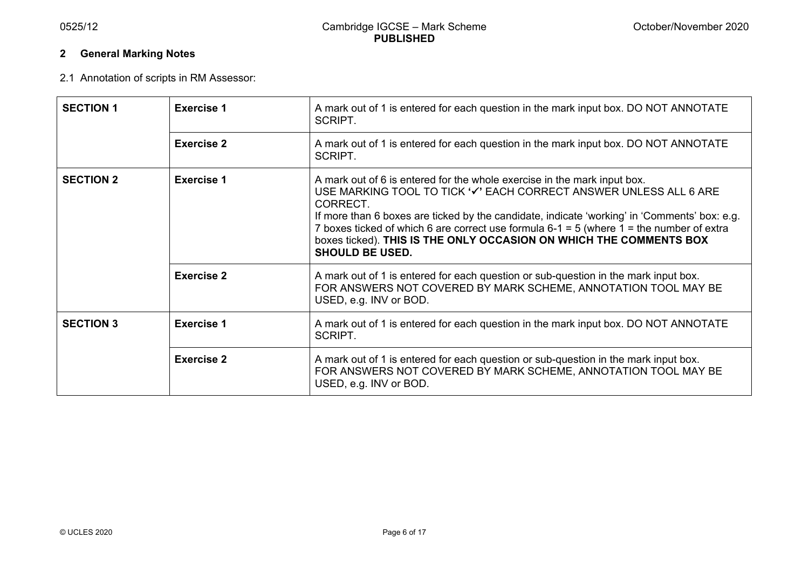# **2 General Marking Notes**

2.1 Annotation of scripts in RM Assessor:

| <b>SECTION 1</b>                      | <b>Exercise 1</b> | A mark out of 1 is entered for each question in the mark input box. DO NOT ANNOTATE<br>SCRIPT.                                                                                                                                                                                                                                                                                                                                                            |  |  |  |
|---------------------------------------|-------------------|-----------------------------------------------------------------------------------------------------------------------------------------------------------------------------------------------------------------------------------------------------------------------------------------------------------------------------------------------------------------------------------------------------------------------------------------------------------|--|--|--|
|                                       | <b>Exercise 2</b> | A mark out of 1 is entered for each question in the mark input box. DO NOT ANNOTATE<br>SCRIPT.                                                                                                                                                                                                                                                                                                                                                            |  |  |  |
| <b>SECTION 2</b>                      | <b>Exercise 1</b> | A mark out of 6 is entered for the whole exercise in the mark input box.<br>USE MARKING TOOL TO TICK '✔' EACH CORRECT ANSWER UNLESS ALL 6 ARE<br>CORRECT.<br>If more than 6 boxes are ticked by the candidate, indicate 'working' in 'Comments' box: e.g.<br>7 boxes ticked of which 6 are correct use formula $6-1 = 5$ (where $1 =$ the number of extra<br>boxes ticked). THIS IS THE ONLY OCCASION ON WHICH THE COMMENTS BOX<br><b>SHOULD BE USED.</b> |  |  |  |
|                                       | <b>Exercise 2</b> | A mark out of 1 is entered for each question or sub-question in the mark input box.<br>FOR ANSWERS NOT COVERED BY MARK SCHEME, ANNOTATION TOOL MAY BE<br>USED, e.g. INV or BOD.                                                                                                                                                                                                                                                                           |  |  |  |
| <b>SECTION 3</b><br><b>Exercise 1</b> |                   | A mark out of 1 is entered for each question in the mark input box. DO NOT ANNOTATE<br>SCRIPT.                                                                                                                                                                                                                                                                                                                                                            |  |  |  |
|                                       | <b>Exercise 2</b> | A mark out of 1 is entered for each question or sub-question in the mark input box.<br>FOR ANSWERS NOT COVERED BY MARK SCHEME, ANNOTATION TOOL MAY BE<br>USED, e.g. INV or BOD.                                                                                                                                                                                                                                                                           |  |  |  |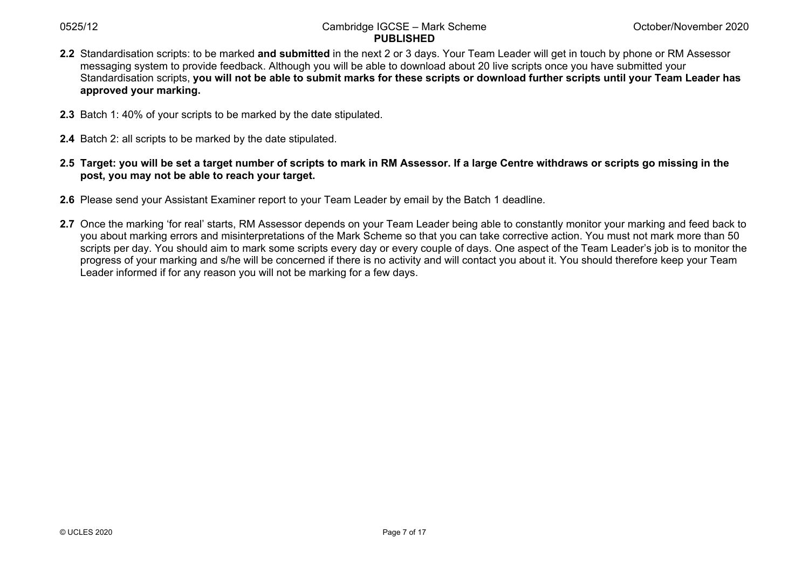- **2.2** Standardisation scripts: to be marked **and submitted** in the next 2 or 3 days. Your Team Leader will get in touch by phone or RM Assessor messaging system to provide feedback. Although you will be able to download about 20 live scripts once you have submitted your Standardisation scripts, **you will not be able to submit marks for these scripts or download further scripts until your Team Leader has approved your marking.**
- **2.3** Batch 1: 40% of your scripts to be marked by the date stipulated.
- **2.4** Batch 2: all scripts to be marked by the date stipulated.
- **2.5 Target: you will be set a target number of scripts to mark in RM Assessor. If a large Centre withdraws or scripts go missing in the post, you may not be able to reach your target.**
- **2.6** Please send your Assistant Examiner report to your Team Leader by email by the Batch 1 deadline.
- **2.7** Once the marking 'for real' starts, RM Assessor depends on your Team Leader being able to constantly monitor your marking and feed back to you about marking errors and misinterpretations of the Mark Scheme so that you can take corrective action. You must not mark more than 50 scripts per day. You should aim to mark some scripts every day or every couple of days. One aspect of the Team Leader's job is to monitor the progress of your marking and s/he will be concerned if there is no activity and will contact you about it. You should therefore keep your Team Leader informed if for any reason you will not be marking for a few days.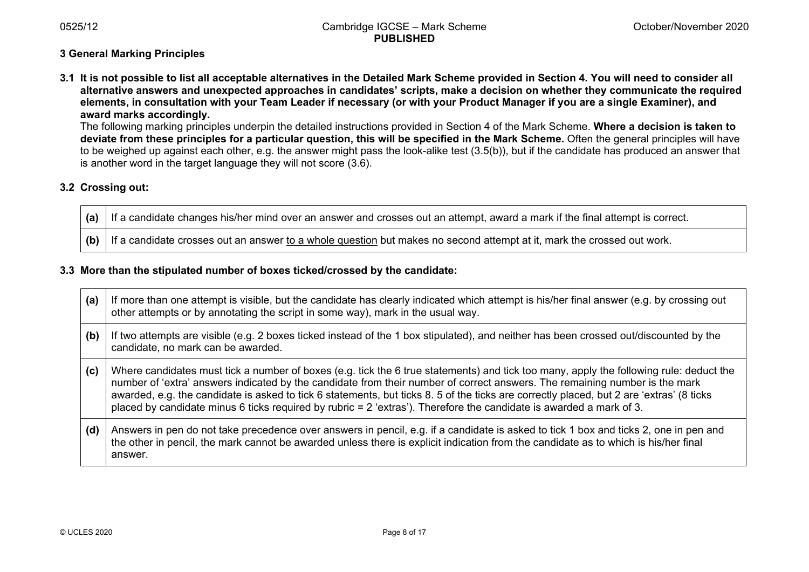# **3 General Marking Principles**

**3.1 It is not possible to list all acceptable alternatives in the Detailed Mark Scheme provided in Section 4. You will need to consider all alternative answers and unexpected approaches in candidates' scripts, make a decision on whether they communicate the required elements, in consultation with your Team Leader if necessary (or with your Product Manager if you are a single Examiner), and award marks accordingly.** 

The following marking principles underpin the detailed instructions provided in Section 4 of the Mark Scheme. **Where a decision is taken to deviate from these principles for a particular question, this will be specified in the Mark Scheme.** Often the general principles will have to be weighed up against each other, e.g. the answer might pass the look-alike test (3.5(b)), but if the candidate has produced an answer that is another word in the target language they will not score (3.6).

# **3.2 Crossing out:**

**(a)** If a candidate changes his/her mind over an answer and crosses out an attempt, award a mark if the final attempt is correct.

**(b)** If a candidate crosses out an answer to a whole question but makes no second attempt at it, mark the crossed out work.

#### **3.3 More than the stipulated number of boxes ticked/crossed by the candidate:**

| (a) | If more than one attempt is visible, but the candidate has clearly indicated which attempt is his/her final answer (e.g. by crossing out<br>other attempts or by annotating the script in some way), mark in the usual way.                                                                                                                                                                                                                                                                                                                |
|-----|--------------------------------------------------------------------------------------------------------------------------------------------------------------------------------------------------------------------------------------------------------------------------------------------------------------------------------------------------------------------------------------------------------------------------------------------------------------------------------------------------------------------------------------------|
| (b) | If two attempts are visible (e.g. 2 boxes ticked instead of the 1 box stipulated), and neither has been crossed out/discounted by the<br>candidate, no mark can be awarded.                                                                                                                                                                                                                                                                                                                                                                |
| (c) | Where candidates must tick a number of boxes (e.g. tick the 6 true statements) and tick too many, apply the following rule: deduct the<br>number of 'extra' answers indicated by the candidate from their number of correct answers. The remaining number is the mark<br>awarded, e.g. the candidate is asked to tick 6 statements, but ticks 8. 5 of the ticks are correctly placed, but 2 are 'extras' (8 ticks<br>placed by candidate minus 6 ticks required by rubric = $2$ 'extras'). Therefore the candidate is awarded a mark of 3. |
| (d) | Answers in pen do not take precedence over answers in pencil, e.g. if a candidate is asked to tick 1 box and ticks 2, one in pen and<br>the other in pencil, the mark cannot be awarded unless there is explicit indication from the candidate as to which is his/her final<br>answer.                                                                                                                                                                                                                                                     |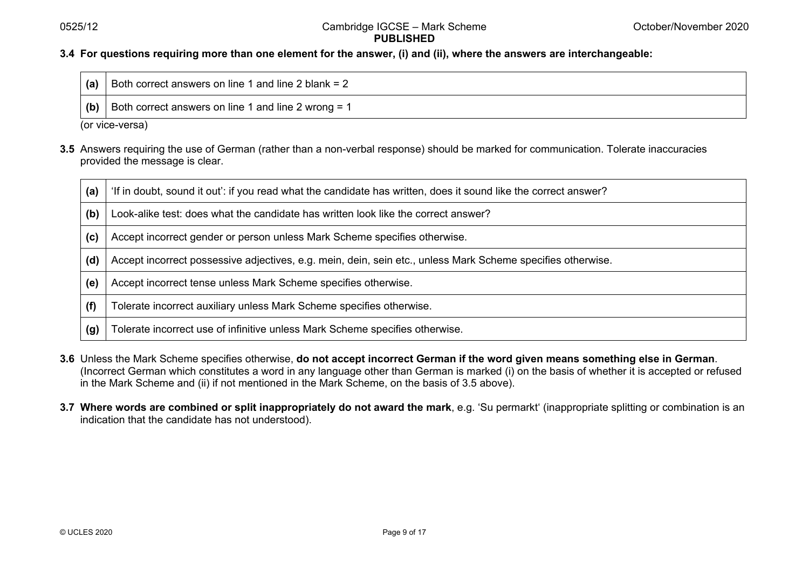#### **3.4 For questions requiring more than one element for the answer, (i) and (ii), where the answers are interchangeable:**

| (a) | Both correct answers on line 1 and line 2 blank = 2 |  |
|-----|-----------------------------------------------------|--|
| (b) | Both correct answers on line 1 and line 2 wrong = 1 |  |

(or vice-versa)

**3.5** Answers requiring the use of German (rather than a non-verbal response) should be marked for communication. Tolerate inaccuracies provided the message is clear.

| (a) | 'If in doubt, sound it out': if you read what the candidate has written, does it sound like the correct answer? |
|-----|-----------------------------------------------------------------------------------------------------------------|
| (b) | Look-alike test: does what the candidate has written look like the correct answer?                              |
| (c) | Accept incorrect gender or person unless Mark Scheme specifies otherwise.                                       |
| (d) | Accept incorrect possessive adjectives, e.g. mein, dein, sein etc., unless Mark Scheme specifies otherwise.     |
| (e) | Accept incorrect tense unless Mark Scheme specifies otherwise.                                                  |
| (f) | Tolerate incorrect auxiliary unless Mark Scheme specifies otherwise.                                            |
| (g) | Tolerate incorrect use of infinitive unless Mark Scheme specifies otherwise.                                    |

- **3.6** Unless the Mark Scheme specifies otherwise, **do not accept incorrect German if the word given means something else in German**. (Incorrect German which constitutes a word in any language other than German is marked (i) on the basis of whether it is accepted or refused in the Mark Scheme and (ii) if not mentioned in the Mark Scheme, on the basis of 3.5 above).
- **3.7 Where words are combined or split inappropriately do not award the mark**, e.g. 'Su permarkt' (inappropriate splitting or combination is an indication that the candidate has not understood).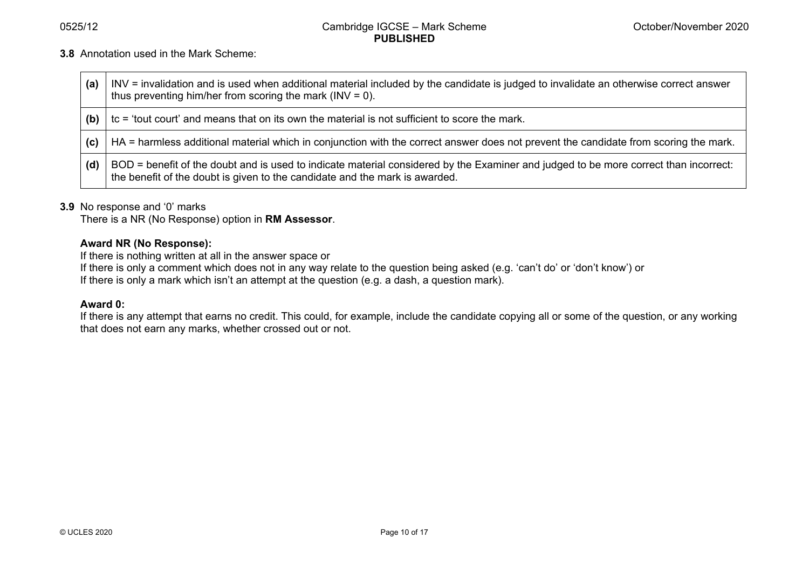**3.8** Annotation used in the Mark Scheme:

| (a) | INV = invalidation and is used when additional material included by the candidate is judged to invalidate an otherwise correct answer<br>thus preventing him/her from scoring the mark ( $INV = 0$ ).               |
|-----|---------------------------------------------------------------------------------------------------------------------------------------------------------------------------------------------------------------------|
| (b) | tc = 'tout court' and means that on its own the material is not sufficient to score the mark.                                                                                                                       |
| (c) | HA = harmless additional material which in conjunction with the correct answer does not prevent the candidate from scoring the mark.                                                                                |
| (d) | BOD = benefit of the doubt and is used to indicate material considered by the Examiner and judged to be more correct than incorrect:<br>the benefit of the doubt is given to the candidate and the mark is awarded. |

#### **3.9** No response and '0' marks

There is a NR (No Response) option in **RM Assessor**.

## **Award NR (No Response):**

If there is nothing written at all in the answer space or

If there is only a comment which does not in any way relate to the question being asked (e.g. 'can't do' or 'don't know') or

If there is only a mark which isn't an attempt at the question (e.g. a dash, a question mark).

#### **Award 0:**

If there is any attempt that earns no credit. This could, for example, include the candidate copying all or some of the question, or any working that does not earn any marks, whether crossed out or not.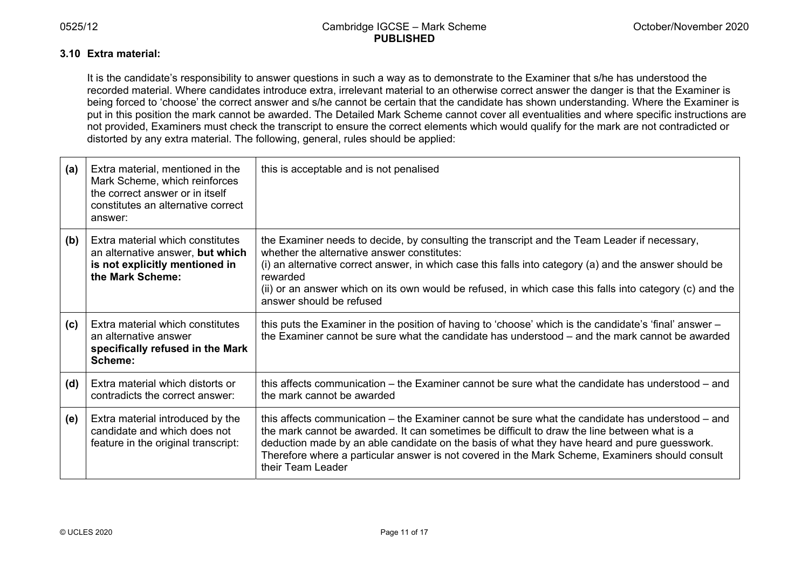#### **3.10 Extra material:**

It is the candidate's responsibility to answer questions in such a way as to demonstrate to the Examiner that s/he has understood the recorded material. Where candidates introduce extra, irrelevant material to an otherwise correct answer the danger is that the Examiner is being forced to 'choose' the correct answer and s/he cannot be certain that the candidate has shown understanding. Where the Examiner is put in this position the mark cannot be awarded. The Detailed Mark Scheme cannot cover all eventualities and where specific instructions are not provided, Examiners must check the transcript to ensure the correct elements which would qualify for the mark are not contradicted or distorted by any extra material. The following, general, rules should be applied:

| (a) | Extra material, mentioned in the<br>Mark Scheme, which reinforces<br>the correct answer or in itself<br>constitutes an alternative correct<br>answer: | this is acceptable and is not penalised                                                                                                                                                                                                                                                                                                                                                                                  |
|-----|-------------------------------------------------------------------------------------------------------------------------------------------------------|--------------------------------------------------------------------------------------------------------------------------------------------------------------------------------------------------------------------------------------------------------------------------------------------------------------------------------------------------------------------------------------------------------------------------|
| (b) | Extra material which constitutes<br>an alternative answer, but which<br>is not explicitly mentioned in<br>the Mark Scheme:                            | the Examiner needs to decide, by consulting the transcript and the Team Leader if necessary,<br>whether the alternative answer constitutes:<br>(i) an alternative correct answer, in which case this falls into category (a) and the answer should be<br>rewarded<br>(ii) or an answer which on its own would be refused, in which case this falls into category (c) and the<br>answer should be refused                 |
| (c) | Extra material which constitutes<br>an alternative answer<br>specifically refused in the Mark<br>Scheme:                                              | this puts the Examiner in the position of having to 'choose' which is the candidate's 'final' answer –<br>the Examiner cannot be sure what the candidate has understood – and the mark cannot be awarded                                                                                                                                                                                                                 |
| (d) | Extra material which distorts or<br>contradicts the correct answer:                                                                                   | this affects communication – the Examiner cannot be sure what the candidate has understood – and<br>the mark cannot be awarded                                                                                                                                                                                                                                                                                           |
| (e) | Extra material introduced by the<br>candidate and which does not<br>feature in the original transcript:                                               | this affects communication – the Examiner cannot be sure what the candidate has understood – and<br>the mark cannot be awarded. It can sometimes be difficult to draw the line between what is a<br>deduction made by an able candidate on the basis of what they have heard and pure guesswork.<br>Therefore where a particular answer is not covered in the Mark Scheme, Examiners should consult<br>their Team Leader |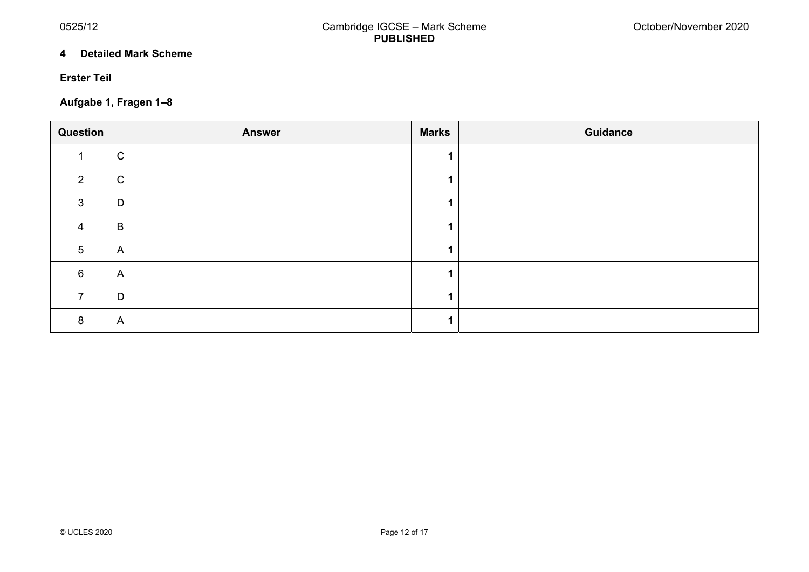#### **4 Detailed Mark Scheme**

## **Erster Teil**

# **Aufgabe 1, Fragen 1–8**

| Question | <b>Answer</b>           | <b>Marks</b> | <b>Guidance</b> |
|----------|-------------------------|--------------|-----------------|
|          | $\mathsf C$             |              |                 |
| C        | $\mathsf C$             |              |                 |
| З        | D                       |              |                 |
| 4        | $\sf B$                 |              |                 |
| 5        | $\overline{\mathsf{A}}$ |              |                 |
| 6        | $\overline{\mathsf{A}}$ |              |                 |
|          | D                       |              |                 |
| 8        | A                       |              |                 |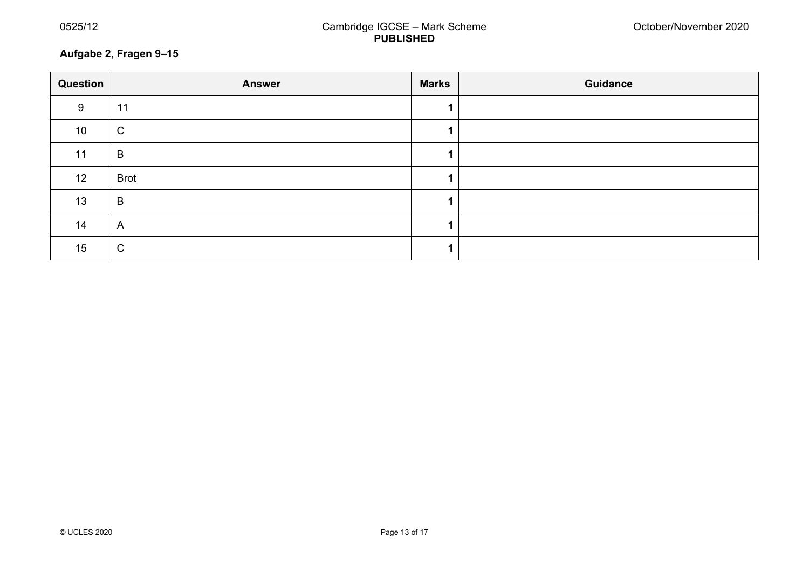# **Aufgabe 2, Fragen 9–15**

| Question        | <b>Answer</b>  | <b>Marks</b> | <b>Guidance</b> |  |  |
|-----------------|----------------|--------------|-----------------|--|--|
| 9               | 11             |              |                 |  |  |
| 10 <sup>°</sup> | $\mathsf C$    |              |                 |  |  |
| 11              | B              |              |                 |  |  |
| 12              | <b>Brot</b>    |              |                 |  |  |
| 13              | B              |              |                 |  |  |
| 14              | $\overline{A}$ |              |                 |  |  |
| 15              | $\mathsf C$    |              |                 |  |  |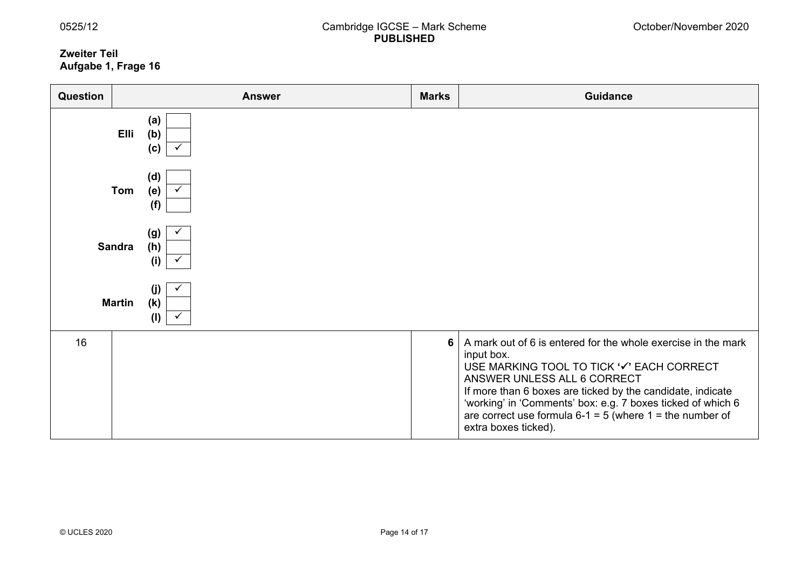#### **Zweiter Teil Aufgabe 1, Frage 16**

| Question      | <b>Answer</b>                      | <b>Marks</b>   | <b>Guidance</b>                                                                                                                                                                                                                                                                                                                                                              |
|---------------|------------------------------------|----------------|------------------------------------------------------------------------------------------------------------------------------------------------------------------------------------------------------------------------------------------------------------------------------------------------------------------------------------------------------------------------------|
|               | (a)<br>(b)<br><b>Elli</b><br>(c)   |                |                                                                                                                                                                                                                                                                                                                                                                              |
|               | (d)<br>Tom<br>(e)<br>(f)           |                |                                                                                                                                                                                                                                                                                                                                                                              |
| <b>Sandra</b> | (g)<br>(h)<br>(i)                  |                |                                                                                                                                                                                                                                                                                                                                                                              |
|               | (i)<br>(k)<br><b>Martin</b><br>(1) |                |                                                                                                                                                                                                                                                                                                                                                                              |
| 16            |                                    | $6\phantom{1}$ | A mark out of 6 is entered for the whole exercise in the mark<br>input box.<br>USE MARKING TOOL TO TICK '√' EACH CORRECT<br>ANSWER UNLESS ALL 6 CORRECT<br>If more than 6 boxes are ticked by the candidate, indicate<br>'working' in 'Comments' box: e.g. 7 boxes ticked of which 6<br>are correct use formula $6-1 = 5$ (where $1 =$ the number of<br>extra boxes ticked). |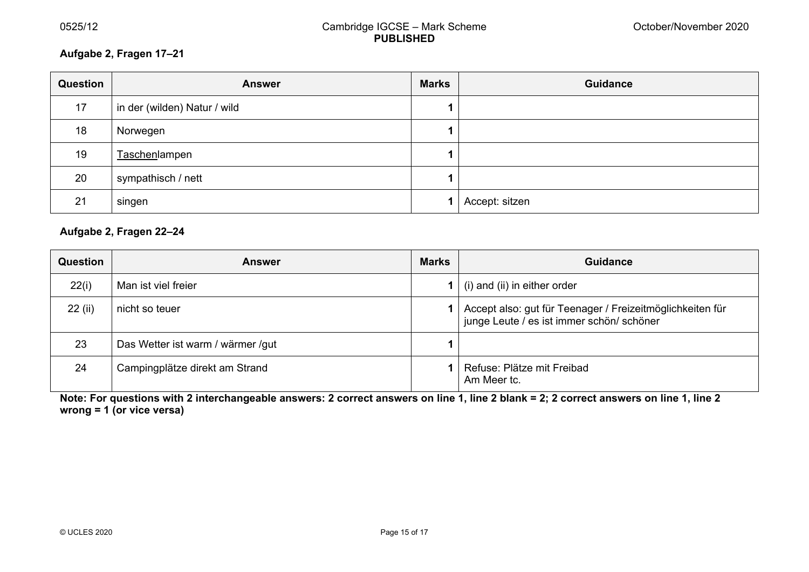# **Aufgabe 2, Fragen 17–21**

| Question | <b>Answer</b>                | <b>Marks</b> | <b>Guidance</b> |
|----------|------------------------------|--------------|-----------------|
| 17       | in der (wilden) Natur / wild |              |                 |
| 18       | Norwegen                     |              |                 |
| 19       | Taschenlampen                |              |                 |
| 20       | sympathisch / nett           |              |                 |
| 21       | singen                       |              | Accept: sitzen  |

# **Aufgabe 2, Fragen 22–24**

| <b>Question</b> | <b>Answer</b>                     | <b>Marks</b> | <b>Guidance</b>                                                                                        |
|-----------------|-----------------------------------|--------------|--------------------------------------------------------------------------------------------------------|
| 22(i)           | Man ist viel freier               |              | (i) and (ii) in either order                                                                           |
| 22 (ii)         | nicht so teuer                    |              | Accept also: gut für Teenager / Freizeitmöglichkeiten für<br>junge Leute / es ist immer schön/ schöner |
| 23              | Das Wetter ist warm / wärmer /gut |              |                                                                                                        |
| 24              | Campingplätze direkt am Strand    |              | Refuse: Plätze mit Freibad<br>Am Meer tc.                                                              |

**Note: For questions with 2 interchangeable answers: 2 correct answers on line 1, line 2 blank = 2; 2 correct answers on line 1, line 2 wrong = 1 (or vice versa)**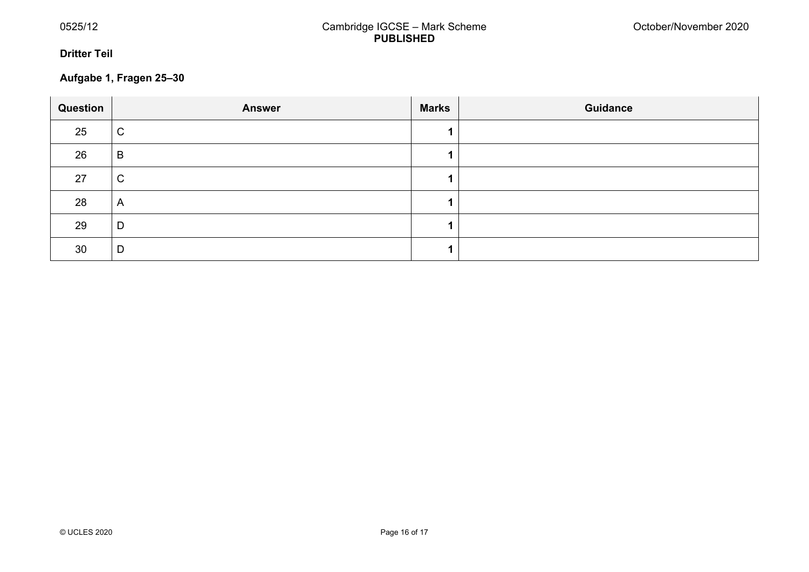#### **Dritter Teil**

# **Aufgabe 1, Fragen 25–30**

| Question | <b>Answer</b> | <b>Marks</b> | <b>Guidance</b> |
|----------|---------------|--------------|-----------------|
| 25       | $\mathsf C$   |              |                 |
| 26       | B             |              |                 |
| 27       | $\mathsf C$   |              |                 |
| 28       | A             |              |                 |
| 29       | D             |              |                 |
| 30       | D             |              |                 |